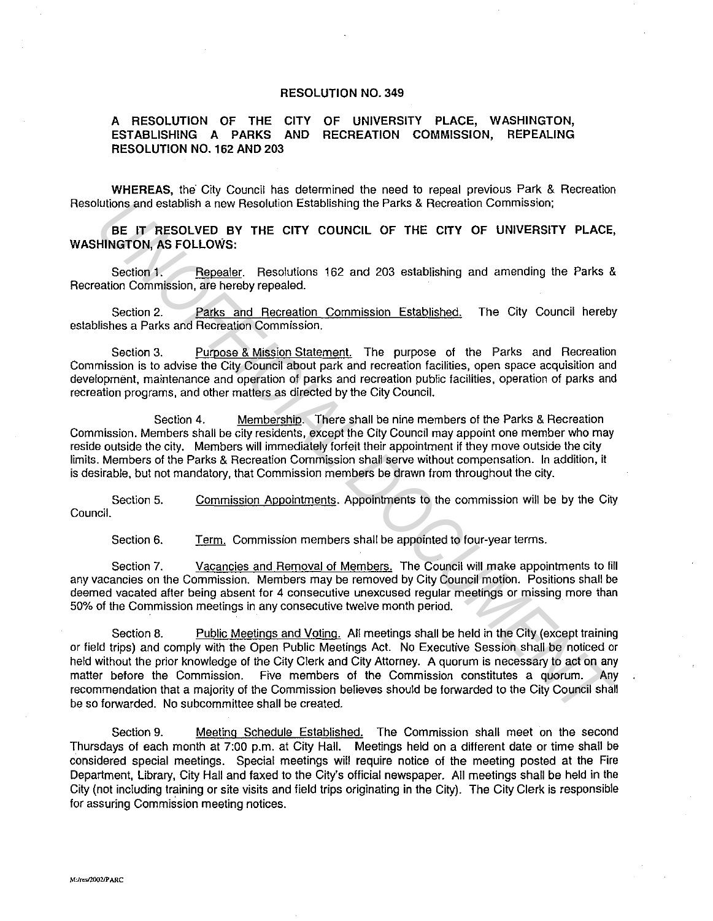## **RESOLUTION NO. 349**

## **A RESOLUTION OF THE CITY OF UNIVERSITY PLACE, WASHINGTON, ESTABLISHING A PARKS AND RECREATION COMMISSION, REPEALING RESOLUTION NO. 162 AND 203**

**WHEREAS,** the City Council has determined the need to repeal previous Park & Recreation Resolutions and establish a new Resolution Establishing the Parks & Recreation Commission;

**BE IT RESOLVED BY THE CITY COUNCIL OF THE CITY OF UNIVERSITY PLACE, WASHINGTON, AS FOLLOWS:** 

Section 1. Repealer. Resolutions 162 and 203 establishing and amending the Parks & Recreation Commission, are hereby repealed.

Section 2. Parks and Recreation Commission Established. The City Council hereby establishes a Parks and Recreation Commission.

Section 3. Purpose & Mission Statement. The purpose of the Parks and Recreation Commission is to advise the City Council about park and recreation facilities, open space acquisition and development, maintenance and operation of parks and recreation public facilities, operation of parks and recreation programs, and other matters as directed by the City Council.

Section 4. Membership. There shall be nine members of the Parks & Recreation Commission. Members shall be city residents, except the City Council may appoint one member who may reside outside the city. Members will immediately forfeit their appointment if they move outside the city limits. Members of the Parks & Recreation Commission shall serve without compensation. In addition, it is desirable, but not mandatory, that Commission members be drawn from throughout the city.

Section 5. Commission Appointments. Appointments to the commission will be by the City Council.

Section 6. Term. Commission members shall be appointed to four-year terms.

Section 7. Vacancies and Removal of Members. The Council will make appointments to fill any vacancies on the Commission. Members may be removed by City Council motion. Positions shall be deemed vacated after being absent for 4 consecutive unexcused regular meetings or missing more than 50% of the Commission meetings in any consecutive twelve month period.

Section 8. Public Meetings and Voting. All meetings shall be held in the City (except training or field trips) and comply with the Open Public Meetings Act. No Executive Session shall be noticed or held without the prior knowledge of the City Clerk and City Attorney. A quorum is necessary to act on any matter before the Commission. Five members of the Commission constitutes a quorum. Any recommendation that a majority of the Commission believes should be forwarded to the City Council shall be so forwarded. No subcommittee shall be created. **EXERCT PRESSOURCE THE CITY COUNCIL OF THE CITY OF UNIVERSITY PLACE,<br>
<b>UNITENT PRESSOURED** BY THE CITY COUNCIL OF THE CITY OF UNIVERSITY PLACE,<br> **UNITENT PRESSOURED** BY THE CITY COUNCIL OF THE CITY OF UNIVERSITY PLACE,<br>
Se

Section 9. Meeting Schedule Established. The Commission shall meet on the second Thursdays of each month at 7:00 p.m. at City Hall. Meetings held on a different date or time shall be considered special meetings. Special meetings will require notice of the meeting posted at the Fire Department, Library, City Hall and faxed to the City's official newspaper. All meetings shall be held in the City (not including training or site visits and field trips originating in the City). The City Clerk is responsible for assuring Commission meeting notices.